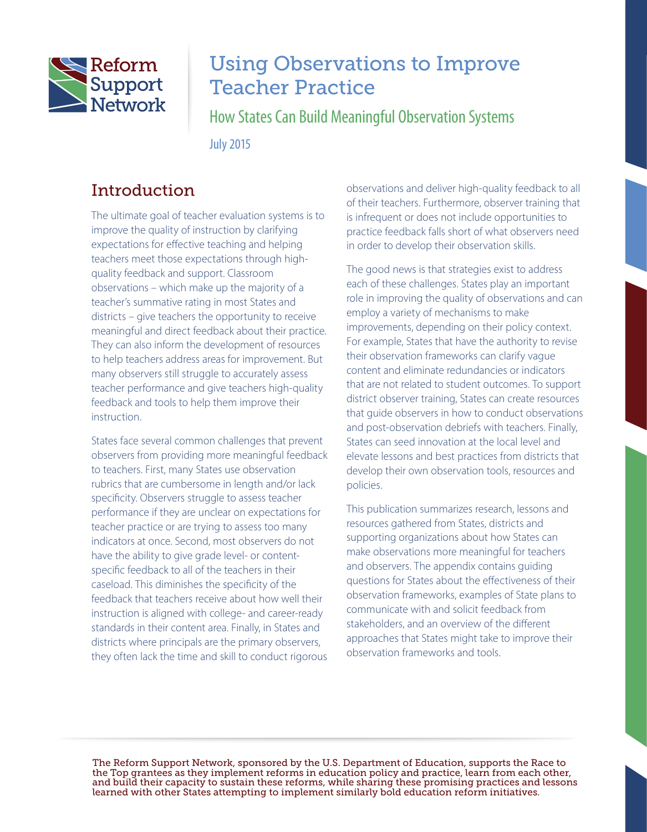

# Using Observations to Improve Teacher Practice

How States Can Build Meaningful Observation Systems

July 2015

# Introduction

The ultimate goal of teacher evaluation systems is to improve the quality of instruction by clarifying expectations for effective teaching and helping teachers meet those expectations through highquality feedback and support. Classroom observations – which make up the majority of a teacher's summative rating in most States and districts – give teachers the opportunity to receive meaningful and direct feedback about their practice. They can also inform the development of resources to help teachers address areas for improvement. But many observers still struggle to accurately assess teacher performance and give teachers high-quality feedback and tools to help them improve their instruction.

States face several common challenges that prevent observers from providing more meaningful feedback to teachers. First, many States use observation rubrics that are cumbersome in length and/or lack specificity. Observers struggle to assess teacher performance if they are unclear on expectations for teacher practice or are trying to assess too many indicators at once. Second, most observers do not have the ability to give grade level- or contentspecific feedback to all of the teachers in their caseload. This diminishes the specificity of the feedback that teachers receive about how well their instruction is aligned with college- and career-ready standards in their content area. Finally, in States and districts where principals are the primary observers, they often lack the time and skill to conduct rigorous

observations and deliver high-quality feedback to all of their teachers. Furthermore, observer training that is infrequent or does not include opportunities to practice feedback falls short of what observers need in order to develop their observation skills.

The good news is that strategies exist to address each of these challenges. States play an important role in improving the quality of observations and can employ a variety of mechanisms to make improvements, depending on their policy context. For example, States that have the authority to revise their observation frameworks can clarify vague content and eliminate redundancies or indicators that are not related to student outcomes. To support district observer training, States can create resources that guide observers in how to conduct observations and post-observation debriefs with teachers. Finally, States can seed innovation at the local level and elevate lessons and best practices from districts that develop their own observation tools, resources and policies.

This publication summarizes research, lessons and resources gathered from States, districts and supporting organizations about how States can make observations more meaningful for teachers and observers. The appendix contains guiding questions for States about the effectiveness of their observation frameworks, examples of State plans to communicate with and solicit feedback from stakeholders, and an overview of the different approaches that States might take to improve their observation frameworks and tools.

The Reform Support Network, sponsored by the U.S. Department of Education, supports the Race to the Top grantees as they implement reforms in education policy and practice, learn from each other, and build their capacity to sustain these reforms, while sharing these promising practices and lessons learned with other States attempting to implement similarly bold education reform initiatives.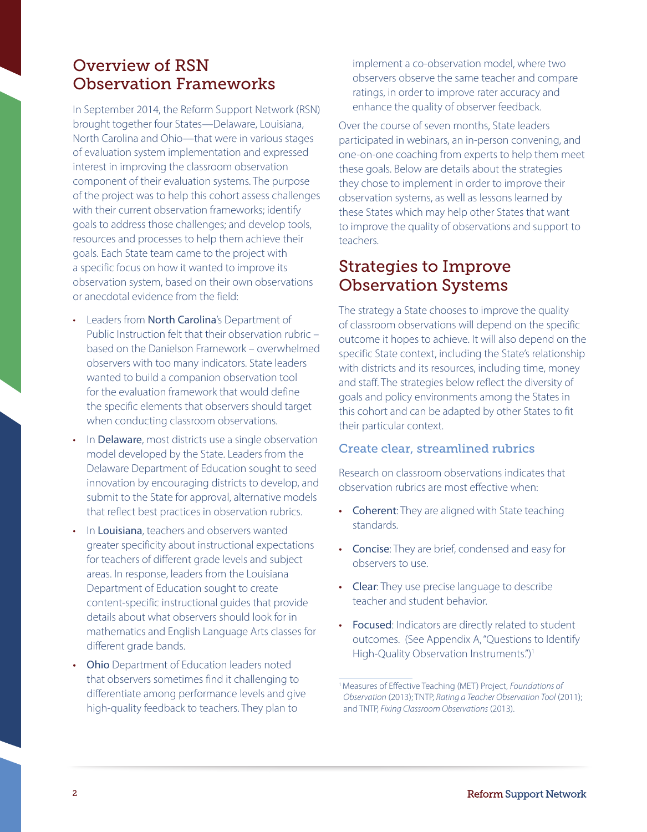# Overview of RSN Observation Frameworks

In September 2014, the Reform Support Network (RSN) brought together four States—Delaware, Louisiana, North Carolina and Ohio—that were in various stages of evaluation system implementation and expressed interest in improving the classroom observation component of their evaluation systems. The purpose of the project was to help this cohort assess challenges with their current observation frameworks; identify goals to address those challenges; and develop tools, resources and processes to help them achieve their goals. Each State team came to the project with a specific focus on how it wanted to improve its observation system, based on their own observations or anecdotal evidence from the field:

- Leaders from North Carolina's Department of Public Instruction felt that their observation rubric – based on the Danielson Framework – overwhelmed observers with too many indicators. State leaders wanted to build a companion observation tool for the evaluation framework that would define the specific elements that observers should target when conducting classroom observations.
- In Delaware, most districts use a single observation model developed by the State. Leaders from the Delaware Department of Education sought to seed innovation by encouraging districts to develop, and submit to the State for approval, alternative models that reflect best practices in observation rubrics.
- In Louisiana, teachers and observers wanted greater specificity about instructional expectations for teachers of different grade levels and subject areas. In response, leaders from the Louisiana Department of Education sought to create content-specific instructional guides that provide details about what observers should look for in mathematics and English Language Arts classes for different grade bands.
- **Ohio** Department of Education leaders noted that observers sometimes find it challenging to differentiate among performance levels and give high-quality feedback to teachers. They plan to

implement a co-observation model, where two observers observe the same teacher and compare ratings, in order to improve rater accuracy and enhance the quality of observer feedback.

Over the course of seven months, State leaders participated in webinars, an in-person convening, and one-on-one coaching from experts to help them meet these goals. Below are details about the strategies they chose to implement in order to improve their observation systems, as well as lessons learned by these States which may help other States that want to improve the quality of observations and support to teachers.

# Strategies to Improve Observation Systems

The strategy a State chooses to improve the quality of classroom observations will depend on the specific outcome it hopes to achieve. It will also depend on the specific State context, including the State's relationship with districts and its resources, including time, money and staff. The strategies below reflect the diversity of goals and policy environments among the States in this cohort and can be adapted by other States to fit their particular context.

### Create clear, streamlined rubrics

Research on classroom observations indicates that observation rubrics are most effective when:

- Coherent: They are aligned with State teaching standards.
- Concise: They are brief, condensed and easy for observers to use.
- Clear: They use precise language to describe teacher and student behavior.
- Focused: Indicators are directly related to student outcomes. (See Appendix A, "Questions to Identify High-Quality Observation Instruments.")<sup>1</sup>

<sup>1</sup>Measures of Effective Teaching (MET) Project, *Foundations of Observation* (2013); TNTP, *Rating a Teacher Observation Tool* (2011); and TNTP, *Fixing Classroom Observations* (2013).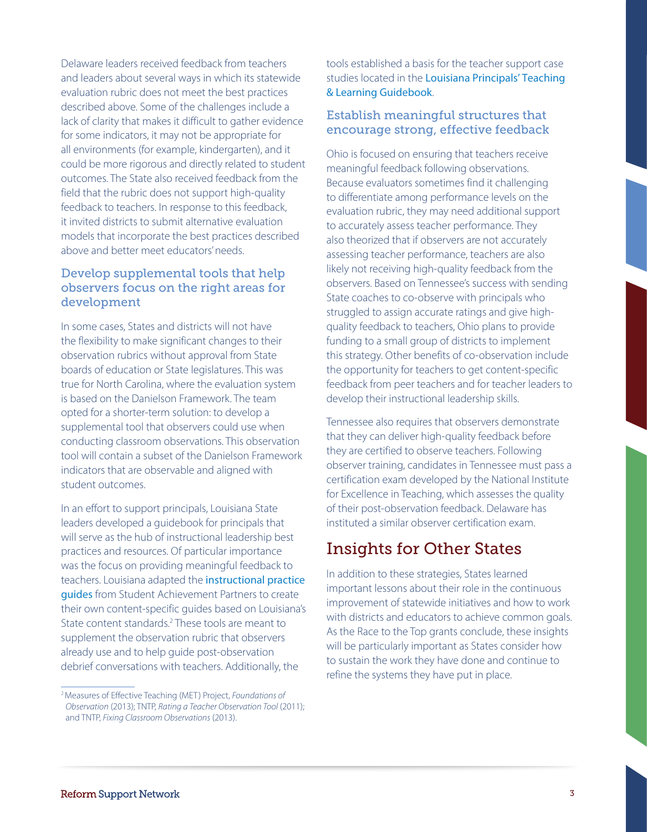Delaware leaders received feedback from teachers and leaders about several ways in which its statewide evaluation rubric does not meet the best practices described above. Some of the challenges include a lack of clarity that makes it difficult to gather evidence for some indicators, it may not be appropriate for all environments (for example, kindergarten), and it could be more rigorous and directly related to student outcomes. The State also received feedback from the field that the rubric does not support high-quality feedback to teachers. In response to this feedback, it invited districts to submit alternative evaluation models that incorporate the best practices described above and better meet educators' needs.

### Develop supplemental tools that help observers focus on the right areas for development

In some cases, States and districts will not have the flexibility to make significant changes to their observation rubrics without approval from State boards of education or State legislatures. This was true for North Carolina, where the evaluation system is based on the Danielson Framework. The team opted for a shorter-term solution: to develop a supplemental tool that observers could use when conducting classroom observations. This observation tool will contain a subset of the Danielson Framework indicators that are observable and aligned with student outcomes.

In an effort to support principals, Louisiana State leaders developed a guidebook for principals that will serve as the hub of instructional leadership best practices and resources. Of particular importance was the focus on providing meaningful feedback to teachers. Louisiana adapted the [instructional practice](http://achievethecore.org/page/969/instructional-practice-guide-list-pg)  [guides](http://achievethecore.org/page/969/instructional-practice-guide-list-pg) from Student Achievement Partners to create their own content-specific guides based on Louisiana's State content standards.<sup>2</sup> These tools are meant to supplement the observation rubric that observers already use and to help guide post-observation debrief conversations with teachers. Additionally, the

tools established a basis for the teacher support case studies located in the [Louisiana Principals' Teaching](http://www.louisianabelieves.com/docs/default-source/teacher-toolbox-resources/2015-louisiana-principals)  [& Learning Guideboo](http://www.louisianabelieves.com/docs/default-source/teacher-toolbox-resources/2015-louisiana-principals)k.

### Establish meaningful structures that encourage strong, effective feedback

Ohio is focused on ensuring that teachers receive meaningful feedback following observations. Because evaluators sometimes find it challenging to differentiate among performance levels on the evaluation rubric, they may need additional support to accurately assess teacher performance. They also theorized that if observers are not accurately assessing teacher performance, teachers are also likely not receiving high-quality feedback from the observers. Based on Tennessee's success with sending State coaches to co-observe with principals who struggled to assign accurate ratings and give highquality feedback to teachers, Ohio plans to provide funding to a small group of districts to implement this strategy. Other benefits of co-observation include the opportunity for teachers to get content-specific feedback from peer teachers and for teacher leaders to develop their instructional leadership skills.

Tennessee also requires that observers demonstrate that they can deliver high-quality feedback before they are certified to observe teachers. Following observer training, candidates in Tennessee must pass a certification exam developed by the National Institute for Excellence in Teaching, which assesses the quality of their post-observation feedback. Delaware has instituted a similar observer certification exam.

# Insights for Other States

In addition to these strategies, States learned important lessons about their role in the continuous improvement of statewide initiatives and how to work with districts and educators to achieve common goals. As the Race to the Top grants conclude, these insights will be particularly important as States consider how to sustain the work they have done and continue to refine the systems they have put in place.

<sup>2</sup>Measures of Effective Teaching (MET) Project, *Foundations of Observation* (2013); TNTP, *Rating a Teacher Observation Tool* (2011); and TNTP, *Fixing Classroom Observations* (2013).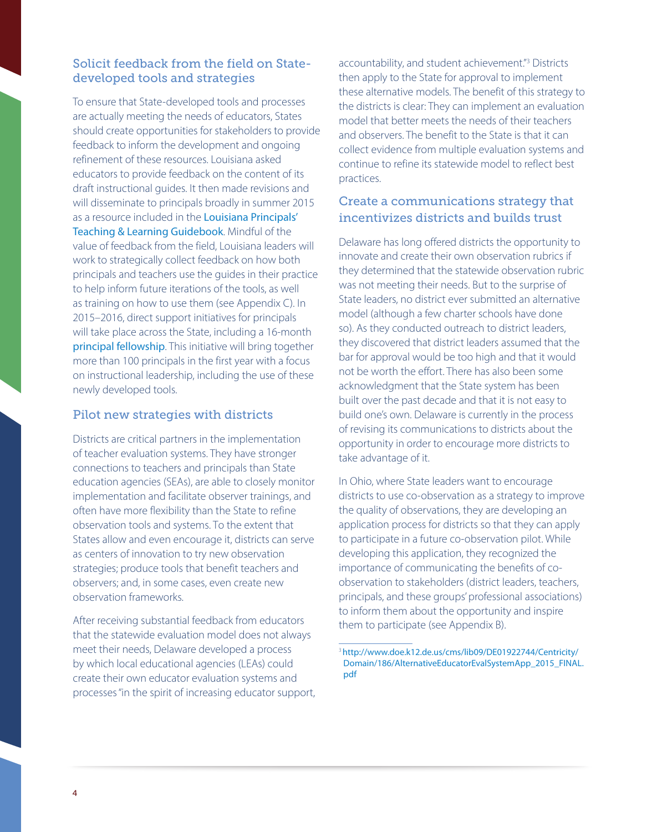### Solicit feedback from the field on Statedeveloped tools and strategies

To ensure that State-developed tools and processes are actually meeting the needs of educators, States should create opportunities for stakeholders to provide feedback to inform the development and ongoing refinement of these resources. Louisiana asked educators to provide feedback on the content of its draft instructional guides. It then made revisions and will disseminate to principals broadly in summer 2015 as a resource included in the [Louisiana Principals'](http://www.louisianabelieves.com/docs/default-source/teacher-toolbox-resources/2015-louisiana-principals)  [Teaching & Learning Guidebook](http://www.louisianabelieves.com/docs/default-source/teacher-toolbox-resources/2015-louisiana-principals). Mindful of the value of feedback from the field, Louisiana leaders will work to strategically collect feedback on how both principals and teachers use the guides in their practice to help inform future iterations of the tools, as well as training on how to use them (see Appendix C). In 2015–2016, direct support initiatives for principals will take place across the State, including a 16-month [principal fellowship](http://www.louisianabelieves.com/docs/default-source/teacher-toolbox-resources/2015-2016-fellowship-program-guide.pdf?sfvrsn=2). This initiative will bring together more than 100 principals in the first year with a focus on instructional leadership, including the use of these newly developed tools.

### Pilot new strategies with districts

Districts are critical partners in the implementation of teacher evaluation systems. They have stronger connections to teachers and principals than State education agencies (SEAs), are able to closely monitor implementation and facilitate observer trainings, and often have more flexibility than the State to refine observation tools and systems. To the extent that States allow and even encourage it, districts can serve as centers of innovation to try new observation strategies; produce tools that benefit teachers and observers; and, in some cases, even create new observation frameworks.

After receiving substantial feedback from educators that the statewide evaluation model does not always meet their needs, Delaware developed a process by which local educational agencies (LEAs) could create their own educator evaluation systems and processes "in the spirit of increasing educator support,

accountability, and student achievement."<sup>3</sup> Districts then apply to the State for approval to implement these alternative models. The benefit of this strategy to the districts is clear: They can implement an evaluation model that better meets the needs of their teachers and observers. The benefit to the State is that it can collect evidence from multiple evaluation systems and continue to refine its statewide model to reflect best practices.

### Create a communications strategy that incentivizes districts and builds trust

Delaware has long offered districts the opportunity to innovate and create their own observation rubrics if they determined that the statewide observation rubric was not meeting their needs. But to the surprise of State leaders, no district ever submitted an alternative model (although a few charter schools have done so). As they conducted outreach to district leaders, they discovered that district leaders assumed that the bar for approval would be too high and that it would not be worth the effort. There has also been some acknowledgment that the State system has been built over the past decade and that it is not easy to build one's own. Delaware is currently in the process of revising its communications to districts about the opportunity in order to encourage more districts to take advantage of it.

In Ohio, where State leaders want to encourage districts to use co-observation as a strategy to improve the quality of observations, they are developing an application process for districts so that they can apply to participate in a future co-observation pilot. While developing this application, they recognized the importance of communicating the benefits of coobservation to stakeholders (district leaders, teachers, principals, and these groups' professional associations) to inform them about the opportunity and inspire them to participate (see Appendix B).

<sup>3</sup>[http://www.doe.k12.de.us/cms/lib09/DE01922744/Centricity/](http://www.doe.k12.de.us/cms/lib09/DE01922744/Centricity/Domain/186/AlternativeEducatorEvalSystemApp_2015_FINAL.pdf) [Domain/186/AlternativeEducatorEvalSystemApp\\_2015\\_FINAL.](http://www.doe.k12.de.us/cms/lib09/DE01922744/Centricity/Domain/186/AlternativeEducatorEvalSystemApp_2015_FINAL.pdf) [pdf](http://www.doe.k12.de.us/cms/lib09/DE01922744/Centricity/Domain/186/AlternativeEducatorEvalSystemApp_2015_FINAL.pdf)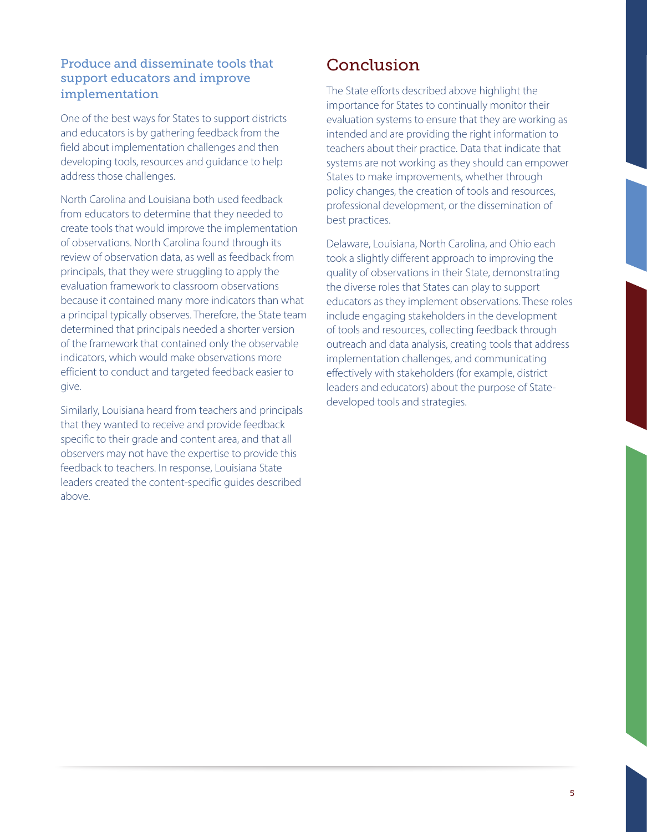## Produce and disseminate tools that support educators and improve implementation

One of the best ways for States to support districts and educators is by gathering feedback from the field about implementation challenges and then developing tools, resources and guidance to help address those challenges.

North Carolina and Louisiana both used feedback from educators to determine that they needed to create tools that would improve the implementation of observations. North Carolina found through its review of observation data, as well as feedback from principals, that they were struggling to apply the evaluation framework to classroom observations because it contained many more indicators than what a principal typically observes. Therefore, the State team determined that principals needed a shorter version of the framework that contained only the observable indicators, which would make observations more efficient to conduct and targeted feedback easier to give.

Similarly, Louisiana heard from teachers and principals that they wanted to receive and provide feedback specific to their grade and content area, and that all observers may not have the expertise to provide this feedback to teachers. In response, Louisiana State leaders created the content-specific guides described above.

# Conclusion

The State efforts described above highlight the importance for States to continually monitor their evaluation systems to ensure that they are working as intended and are providing the right information to teachers about their practice. Data that indicate that systems are not working as they should can empower States to make improvements, whether through policy changes, the creation of tools and resources, professional development, or the dissemination of best practices.

Delaware, Louisiana, North Carolina, and Ohio each took a slightly different approach to improving the quality of observations in their State, demonstrating the diverse roles that States can play to support educators as they implement observations. These roles include engaging stakeholders in the development of tools and resources, collecting feedback through outreach and data analysis, creating tools that address implementation challenges, and communicating effectively with stakeholders (for example, district leaders and educators) about the purpose of Statedeveloped tools and strategies.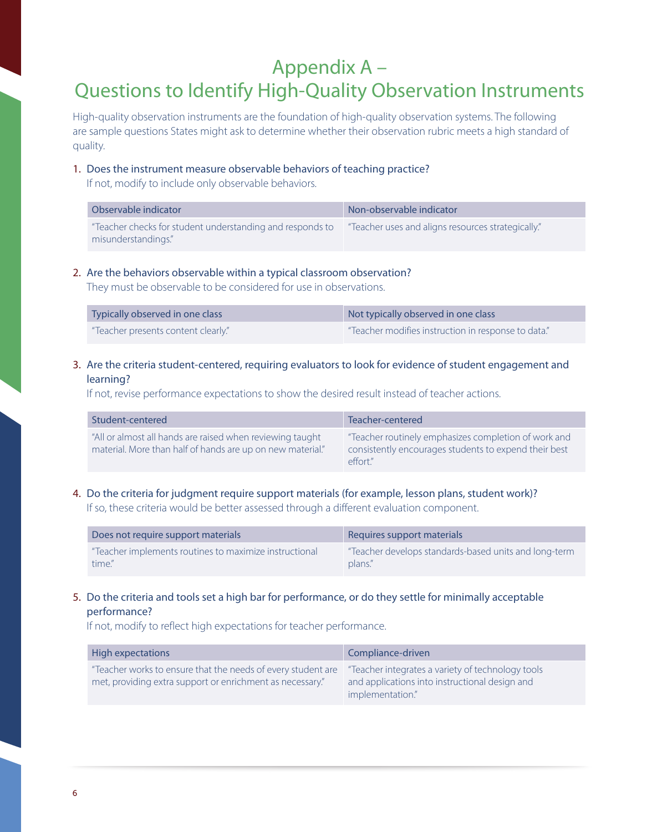# Appendix A – Questions to Identify High-Quality Observation Instruments

High-quality observation instruments are the foundation of high-quality observation systems. The following are sample questions States might ask to determine whether their observation rubric meets a high standard of quality.

#### 1. Does the instrument measure observable behaviors of teaching practice?

If not, modify to include only observable behaviors.

| Observable indicator                                                             | Non-observable indicator                           |
|----------------------------------------------------------------------------------|----------------------------------------------------|
| "Teacher checks for student understanding and responds to<br>misunderstandings." | "Teacher uses and aligns resources strategically." |

### 2. Are the behaviors observable within a typical classroom observation?

They must be observable to be considered for use in observations.

| Typically observed in one class     | Not typically observed in one class                 |
|-------------------------------------|-----------------------------------------------------|
| "Teacher presents content clearly." | "Teacher modifies instruction in response to data." |

### 3. Are the criteria student-centered, requiring evaluators to look for evidence of student engagement and learning?

If not, revise performance expectations to show the desired result instead of teacher actions.

| Student-centered                                                                                                        | Teacher-centered                                                                                                         |
|-------------------------------------------------------------------------------------------------------------------------|--------------------------------------------------------------------------------------------------------------------------|
| "All or almost all hands are raised when reviewing taught<br>material. More than half of hands are up on new material." | "Teacher routinely emphasizes completion of work and<br>consistently encourages students to expend their best<br>effort" |

### 4. Do the criteria for judgment require support materials (for example, lesson plans, student work)? If so, these criteria would be better assessed through a different evaluation component.

| Does not require support materials                     | Requires support materials                            |
|--------------------------------------------------------|-------------------------------------------------------|
| "Teacher implements routines to maximize instructional | "Teacher develops standards-based units and long-term |
| time."                                                 | plans."                                               |

### 5. Do the criteria and tools set a high bar for performance, or do they settle for minimally acceptable performance?

If not, modify to reflect high expectations for teacher performance.

| High expectations                                                                                                         | Compliance-driven                                                                                                       |
|---------------------------------------------------------------------------------------------------------------------------|-------------------------------------------------------------------------------------------------------------------------|
| "Teacher works to ensure that the needs of every student are<br>met, providing extra support or enrichment as necessary." | "Teacher integrates a variety of technology tools<br>and applications into instructional design and<br>implementation." |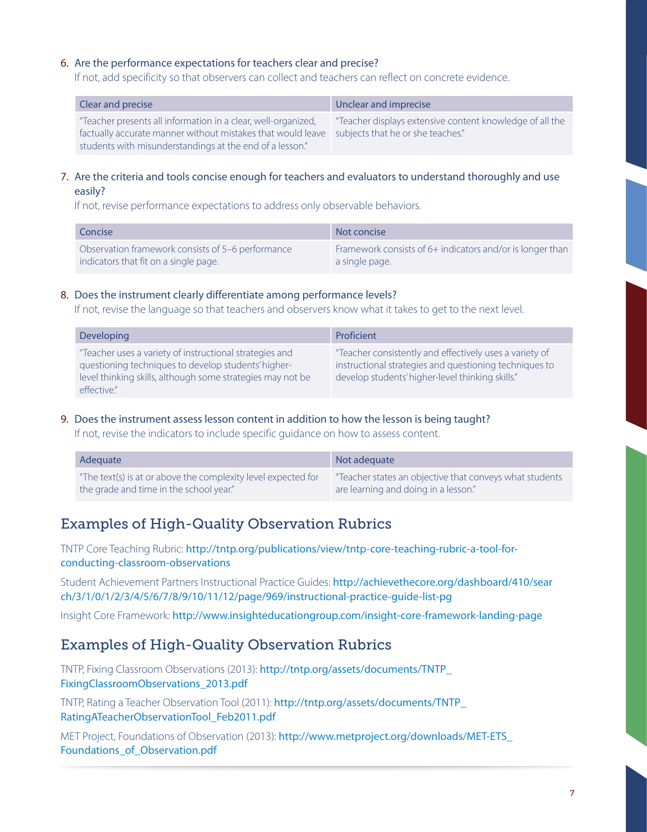### 6. Are the performance expectations for teachers clear and precise?

If not, add specificity so that observers can collect and teachers can reflect on concrete evidence.

| Clear and precise                                                                                                                                                                                                          | Unclear and imprecise                                    |
|----------------------------------------------------------------------------------------------------------------------------------------------------------------------------------------------------------------------------|----------------------------------------------------------|
| "Teacher presents all information in a clear, well-organized,<br>factually accurate manner without mistakes that would leave subjects that he or she teaches."<br>students with misunderstandings at the end of a lesson." | "Teacher displays extensive content knowledge of all the |

#### 7. Are the criteria and tools concise enough for teachers and evaluators to understand thoroughly and use easily?

If not, revise performance expectations to address only observable behaviors.

| Concise                                           | Not concise                                               |
|---------------------------------------------------|-----------------------------------------------------------|
| Observation framework consists of 5–6 performance | Framework consists of 6+ indicators and/or is longer than |
| indicators that fit on a single page.             | a single page.                                            |

#### 8. Does the instrument clearly differentiate among performance levels?

If not, revise the language so that teachers and observers know what it takes to get to the next level.

| Developing                                                                                                                                                                                 | Proficient                                                                                                                                                            |
|--------------------------------------------------------------------------------------------------------------------------------------------------------------------------------------------|-----------------------------------------------------------------------------------------------------------------------------------------------------------------------|
| "Teacher uses a variety of instructional strategies and<br>questioning techniques to develop students' higher-<br>level thinking skills, although some strategies may not be<br>effective" | "Teacher consistently and effectively uses a variety of<br>instructional strategies and questioning techniques to<br>develop students' higher-level thinking skills." |

#### 9. Does the instrument assess lesson content in addition to how the lesson is being taught?

If not, revise the indicators to include specific guidance on how to assess content.

| Adequate                                                      | Not adequate                                            |
|---------------------------------------------------------------|---------------------------------------------------------|
| "The text(s) is at or above the complexity level expected for | "Teacher states an objective that conveys what students |
| the grade and time in the school year."                       | are learning and doing in a lesson."                    |

# Examples of High-Quality Observation Rubrics

TNTP Core Teaching Rubric: [http://tntp.org/publications/view/tntp-core-teaching-rubric-a-tool-for](http://tntp.org/publications/view/tntp-core-teaching-rubric-a-tool-for-conducting-classroom-observations)[conducting-classroom-observations](http://tntp.org/publications/view/tntp-core-teaching-rubric-a-tool-for-conducting-classroom-observations)

Student Achievement Partners Instructional Practice Guides: [http://achievethecore.org/dashboard/410/sear](http://achievethecore.org/dashboard/410/search/3/1/0/1/2/3/4/5/6/7/8/9/10/11/12/page/969/instructional-practice-guide-list-pg) [ch/3/1/0/1/2/3/4/5/6/7/8/9/10/11/12/page/969/instructional-practice-guide-list-pg](http://achievethecore.org/dashboard/410/search/3/1/0/1/2/3/4/5/6/7/8/9/10/11/12/page/969/instructional-practice-guide-list-pg)

Insight Core Framework: <http://www.insighteducationgroup.com/insight-core-framework-landing-page>

## Examples of High-Quality Observation Rubrics

TNTP, Fixing Classroom Observations (2013): [http://tntp.org/assets/documents/TNTP\\_](http://tntp.org/assets/documents/TNTP_FixingClassroomObservations_2013.pdf) [FixingClassroomObservations\\_2013.pdf](http://tntp.org/assets/documents/TNTP_FixingClassroomObservations_2013.pdf)

TNTP, Rating a Teacher Observation Tool (2011): [http://tntp.org/assets/documents/TNTP\\_](http://tntp.org/assets/documents/TNTP_RatingATeacherObservationTool_Feb2011.pdf) [RatingATeacherObservationTool\\_Feb2011.pdf](http://tntp.org/assets/documents/TNTP_RatingATeacherObservationTool_Feb2011.pdf)

MET Project, Foundations of Observation (2013): [http://www.metproject.org/downloads/MET-ETS\\_](http://www.metproject.org/downloads/MET-ETS_Foundations_of_Observation.pdf) [Foundations\\_of\\_Observation.pdf](http://www.metproject.org/downloads/MET-ETS_Foundations_of_Observation.pdf)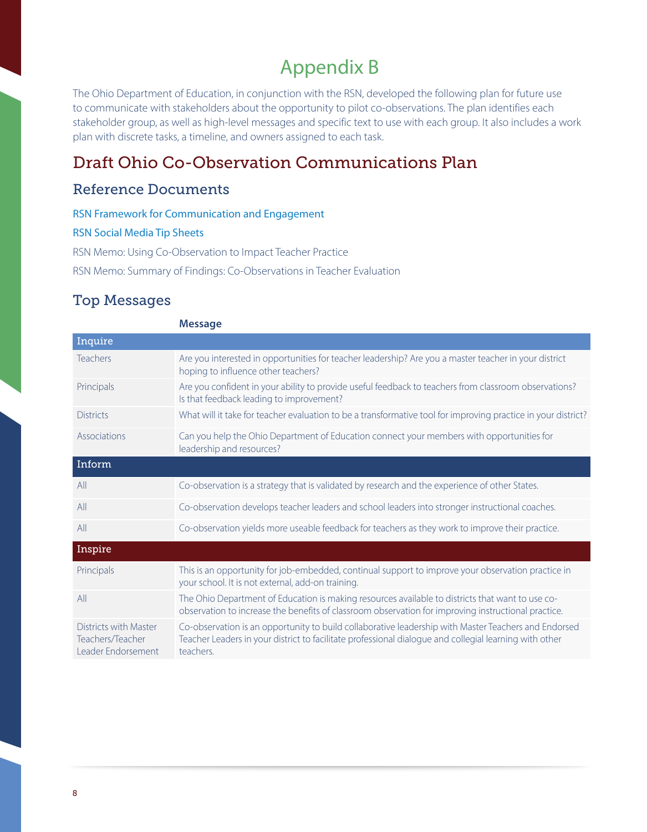# Appendix B

The Ohio Department of Education, in conjunction with the RSN, developed the following plan for future use to communicate with stakeholders about the opportunity to pilot co-observations. The plan identifies each stakeholder group, as well as high-level messages and specific text to use with each group. It also includes a work plan with discrete tasks, a timeline, and owners assigned to each task.

# Draft Ohio Co-Observation Communications Plan

## Reference Documents

[RSN Framework for Communication and Engagement](https://www2.ed.gov/about/inits/ed/implementation-support-unit/tech-assist/framework-communications-engagement.pdf)

#### [RSN Social Media Tip Sheets](http://www2.ed.gov/about/inits/ed/implementation-support-unit/tech-assist/stakeholder-communications-social-media.html)

RSN Memo: Using Co-Observation to Impact Teacher Practice

RSN Memo: Summary of Findings: Co-Observations in Teacher Evaluation

## Top Messages

|                                                                        | <b>Message</b>                                                                                                                                                                                                              |
|------------------------------------------------------------------------|-----------------------------------------------------------------------------------------------------------------------------------------------------------------------------------------------------------------------------|
| Inquire                                                                |                                                                                                                                                                                                                             |
| <b>Teachers</b>                                                        | Are you interested in opportunities for teacher leadership? Are you a master teacher in your district<br>hoping to influence other teachers?                                                                                |
| Principals                                                             | Are you confident in your ability to provide useful feedback to teachers from classroom observations?<br>Is that feedback leading to improvement?                                                                           |
| <b>Districts</b>                                                       | What will it take for teacher evaluation to be a transformative tool for improving practice in your district?                                                                                                               |
| Associations                                                           | Can you help the Ohio Department of Education connect your members with opportunities for<br>leadership and resources?                                                                                                      |
| Inform                                                                 |                                                                                                                                                                                                                             |
| All                                                                    | Co-observation is a strategy that is validated by research and the experience of other States.                                                                                                                              |
| All                                                                    | Co-observation develops teacher leaders and school leaders into stronger instructional coaches.                                                                                                                             |
| All                                                                    | Co-observation yields more useable feedback for teachers as they work to improve their practice.                                                                                                                            |
| Inspire                                                                |                                                                                                                                                                                                                             |
| Principals                                                             | This is an opportunity for job-embedded, continual support to improve your observation practice in<br>your school. It is not external, add-on training.                                                                     |
| All                                                                    | The Ohio Department of Education is making resources available to districts that want to use co-<br>observation to increase the benefits of classroom observation for improving instructional practice.                     |
| Districts with Master<br>Teachers/Teacher<br><b>Leader Endorsement</b> | Co-observation is an opportunity to build collaborative leadership with Master Teachers and Endorsed<br>Teacher Leaders in your district to facilitate professional dialogue and collegial learning with other<br>teachers. |
|                                                                        |                                                                                                                                                                                                                             |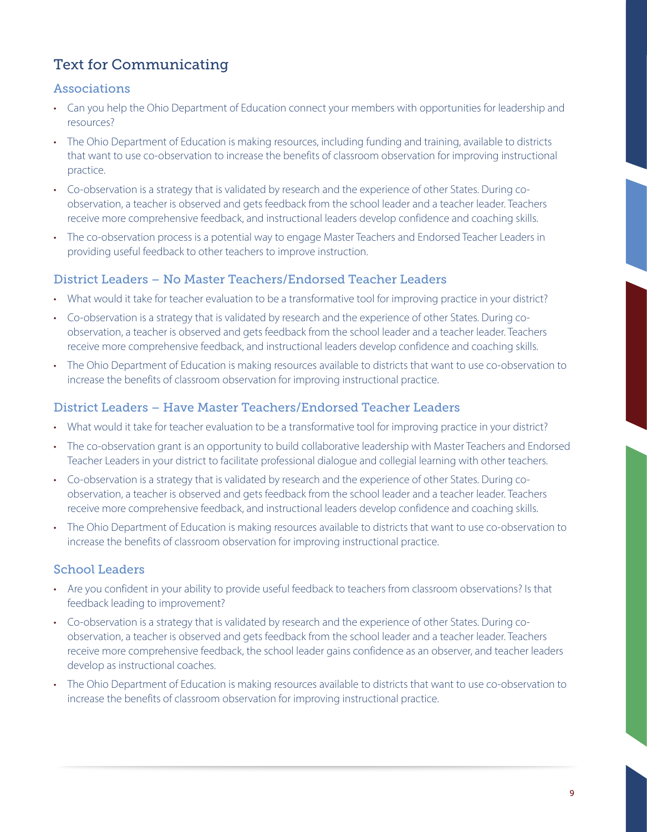# Text for Communicating

### Associations

- Can you help the Ohio Department of Education connect your members with opportunities for leadership and resources?
- • The Ohio Department of Education is making resources, including funding and training, available to districts that want to use co-observation to increase the benefits of classroom observation for improving instructional practice.
- • Co-observation is a strategy that is validated by research and the experience of other States. During coobservation, a teacher is observed and gets feedback from the school leader and a teacher leader. Teachers receive more comprehensive feedback, and instructional leaders develop confidence and coaching skills.
- The co-observation process is a potential way to engage Master Teachers and Endorsed Teacher Leaders in providing useful feedback to other teachers to improve instruction.

## District Leaders – No Master Teachers/Endorsed Teacher Leaders

- What would it take for teacher evaluation to be a transformative tool for improving practice in your district?
- • Co-observation is a strategy that is validated by research and the experience of other States. During coobservation, a teacher is observed and gets feedback from the school leader and a teacher leader. Teachers receive more comprehensive feedback, and instructional leaders develop confidence and coaching skills.
- The Ohio Department of Education is making resources available to districts that want to use co-observation to increase the benefits of classroom observation for improving instructional practice.

### District Leaders – Have Master Teachers/Endorsed Teacher Leaders

- What would it take for teacher evaluation to be a transformative tool for improving practice in your district?
- The co-observation grant is an opportunity to build collaborative leadership with Master Teachers and Endorsed Teacher Leaders in your district to facilitate professional dialogue and collegial learning with other teachers.
- • Co-observation is a strategy that is validated by research and the experience of other States. During coobservation, a teacher is observed and gets feedback from the school leader and a teacher leader. Teachers receive more comprehensive feedback, and instructional leaders develop confidence and coaching skills.
- The Ohio Department of Education is making resources available to districts that want to use co-observation to increase the benefits of classroom observation for improving instructional practice.

## School Leaders

- Are you confident in your ability to provide useful feedback to teachers from classroom observations? Is that feedback leading to improvement?
- • Co-observation is a strategy that is validated by research and the experience of other States. During coobservation, a teacher is observed and gets feedback from the school leader and a teacher leader. Teachers receive more comprehensive feedback, the school leader gains confidence as an observer, and teacher leaders develop as instructional coaches.
- The Ohio Department of Education is making resources available to districts that want to use co-observation to increase the benefits of classroom observation for improving instructional practice.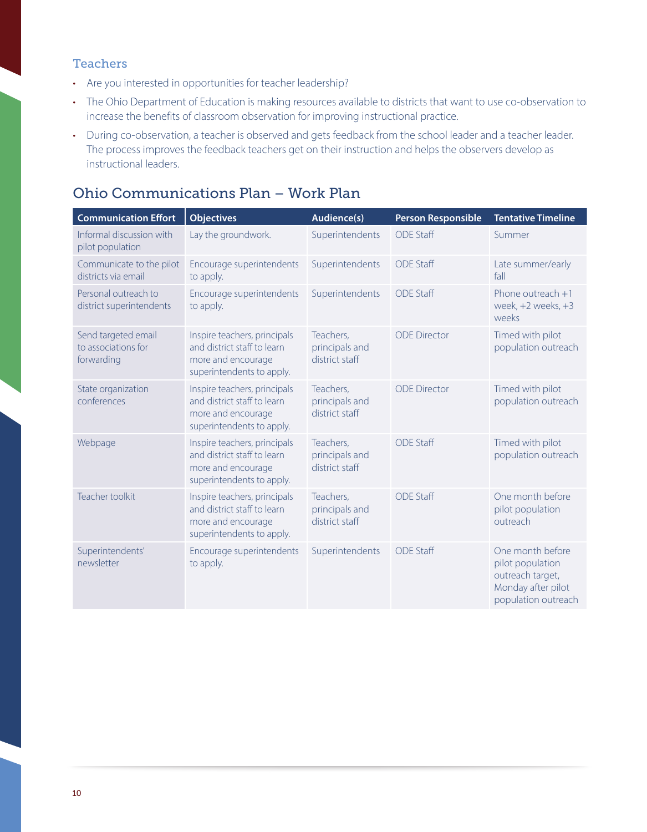### **Teachers**

- Are you interested in opportunities for teacher leadership?
- The Ohio Department of Education is making resources available to districts that want to use co-observation to increase the benefits of classroom observation for improving instructional practice.
- During co-observation, a teacher is observed and gets feedback from the school leader and a teacher leader. The process improves the feedback teachers get on their instruction and helps the observers develop as instructional leaders.

# Ohio Communications Plan – Work Plan

| <b>Communication Effort</b>                              | <b>Objectives</b>                                                                                              | Audience(s)                                   | <b>Person Responsible</b> | <b>Tentative Timeline</b>                                                                             |
|----------------------------------------------------------|----------------------------------------------------------------------------------------------------------------|-----------------------------------------------|---------------------------|-------------------------------------------------------------------------------------------------------|
| Informal discussion with<br>pilot population             | Lay the groundwork.                                                                                            | Superintendents                               | <b>ODE Staff</b>          | Summer                                                                                                |
| Communicate to the pilot<br>districts via email          | Encourage superintendents<br>to apply.                                                                         | Superintendents                               | <b>ODE Staff</b>          | Late summer/early<br>fall                                                                             |
| Personal outreach to<br>district superintendents         | Encourage superintendents<br>to apply.                                                                         | Superintendents                               | <b>ODE Staff</b>          | Phone outreach +1<br>week, $+2$ weeks, $+3$<br>weeks                                                  |
| Send targeted email<br>to associations for<br>forwarding | Inspire teachers, principals<br>and district staff to learn<br>more and encourage<br>superintendents to apply. | Teachers,<br>principals and<br>district staff | <b>ODE Director</b>       | Timed with pilot<br>population outreach                                                               |
| State organization<br>conferences                        | Inspire teachers, principals<br>and district staff to learn<br>more and encourage<br>superintendents to apply. | Teachers,<br>principals and<br>district staff | <b>ODE Director</b>       | Timed with pilot<br>population outreach                                                               |
| Webpage                                                  | Inspire teachers, principals<br>and district staff to learn<br>more and encourage<br>superintendents to apply. | Teachers,<br>principals and<br>district staff | <b>ODE Staff</b>          | Timed with pilot<br>population outreach                                                               |
| Teacher toolkit                                          | Inspire teachers, principals<br>and district staff to learn<br>more and encourage<br>superintendents to apply. | Teachers,<br>principals and<br>district staff | <b>ODE Staff</b>          | One month before<br>pilot population<br>outreach                                                      |
| Superintendents'<br>newsletter                           | Encourage superintendents<br>to apply.                                                                         | Superintendents                               | <b>ODE Staff</b>          | One month before<br>pilot population<br>outreach target,<br>Monday after pilot<br>population outreach |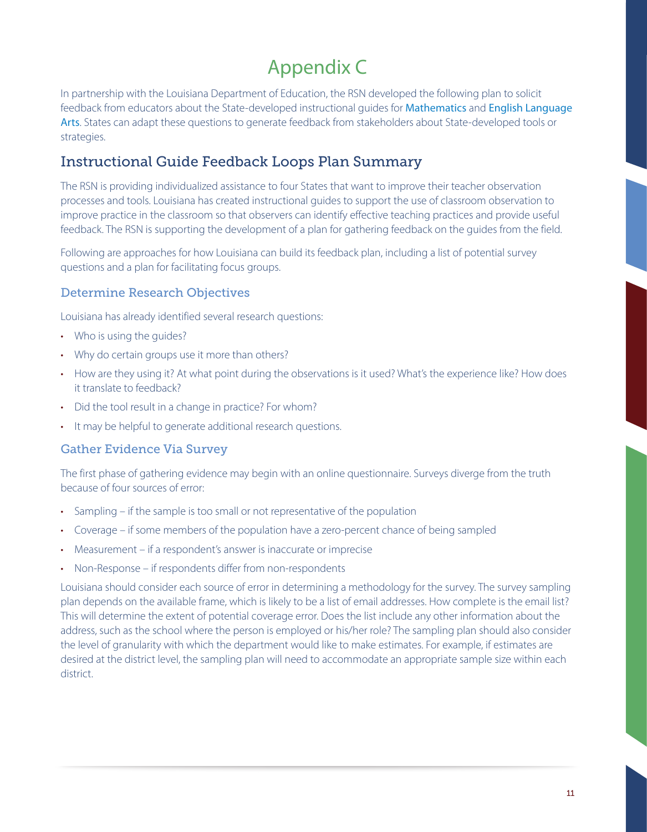# Appendix C

In partnership with the Louisiana Department of Education, the RSN developed the following plan to solicit feedback from educators about the State-developed instructional guides for [Mathematics](http://www.louisianabelieves.com/docs/default-source/key-compass-resources/math---observation-and-feedback-instructional-guide.docx?sfvrsn=2) and [English Language](http://www.louisianabelieves.com/docs/default-source/key-compass-resources/ela---observation-and-feedback-instructional-guide.docx?sfvrsn=2)  [Arts](http://www.louisianabelieves.com/docs/default-source/key-compass-resources/ela---observation-and-feedback-instructional-guide.docx?sfvrsn=2). States can adapt these questions to generate feedback from stakeholders about State-developed tools or strategies.

# Instructional Guide Feedback Loops Plan Summary

The RSN is providing individualized assistance to four States that want to improve their teacher observation processes and tools. Louisiana has created instructional guides to support the use of classroom observation to improve practice in the classroom so that observers can identify effective teaching practices and provide useful feedback. The RSN is supporting the development of a plan for gathering feedback on the guides from the field.

Following are approaches for how Louisiana can build its feedback plan, including a list of potential survey questions and a plan for facilitating focus groups.

### Determine Research Objectives

Louisiana has already identified several research questions:

- Who is using the guides?
- Why do certain groups use it more than others?
- How are they using it? At what point during the observations is it used? What's the experience like? How does it translate to feedback?
- Did the tool result in a change in practice? For whom?
- It may be helpful to generate additional research questions.

### Gather Evidence Via Survey

The first phase of gathering evidence may begin with an online questionnaire. Surveys diverge from the truth because of four sources of error:

- Sampling if the sample is too small or not representative of the population
- • Coverage if some members of the population have a zero-percent chance of being sampled
- Measurement if a respondent's answer is inaccurate or imprecise
- Non-Response if respondents differ from non-respondents

Louisiana should consider each source of error in determining a methodology for the survey. The survey sampling plan depends on the available frame, which is likely to be a list of email addresses. How complete is the email list? This will determine the extent of potential coverage error. Does the list include any other information about the address, such as the school where the person is employed or his/her role? The sampling plan should also consider the level of granularity with which the department would like to make estimates. For example, if estimates are desired at the district level, the sampling plan will need to accommodate an appropriate sample size within each district.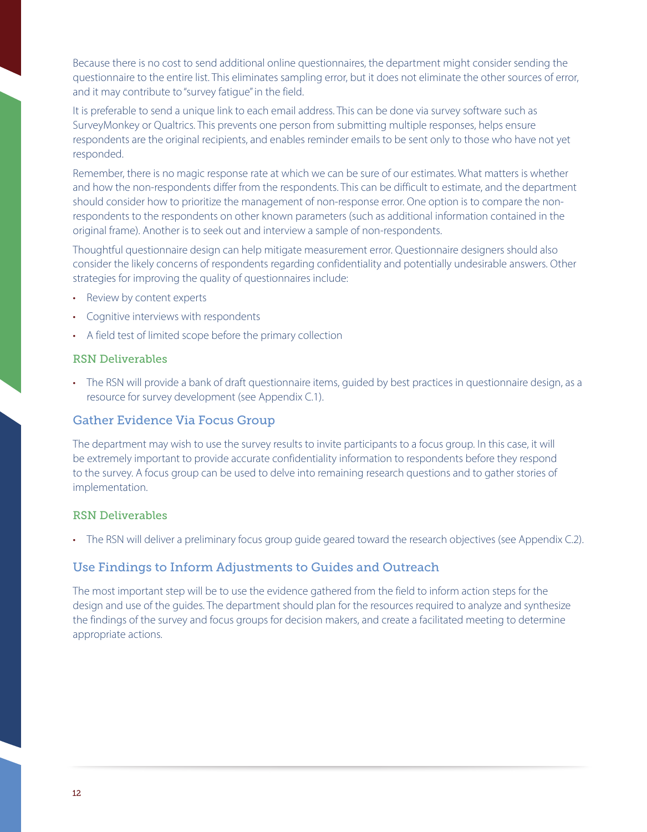Because there is no cost to send additional online questionnaires, the department might consider sending the questionnaire to the entire list. This eliminates sampling error, but it does not eliminate the other sources of error, and it may contribute to "survey fatigue" in the field.

It is preferable to send a unique link to each email address. This can be done via survey software such as SurveyMonkey or Qualtrics. This prevents one person from submitting multiple responses, helps ensure respondents are the original recipients, and enables reminder emails to be sent only to those who have not yet responded.

Remember, there is no magic response rate at which we can be sure of our estimates. What matters is whether and how the non-respondents differ from the respondents. This can be difficult to estimate, and the department should consider how to prioritize the management of non-response error. One option is to compare the nonrespondents to the respondents on other known parameters (such as additional information contained in the original frame). Another is to seek out and interview a sample of non-respondents.

Thoughtful questionnaire design can help mitigate measurement error. Questionnaire designers should also consider the likely concerns of respondents regarding confidentiality and potentially undesirable answers. Other strategies for improving the quality of questionnaires include:

- • Review by content experts
- • Cognitive interviews with respondents
- A field test of limited scope before the primary collection

#### RSN Deliverables

• The RSN will provide a bank of draft questionnaire items, guided by best practices in questionnaire design, as a resource for survey development (see Appendix C.1).

### Gather Evidence Via Focus Group

The department may wish to use the survey results to invite participants to a focus group. In this case, it will be extremely important to provide accurate confidentiality information to respondents before they respond to the survey. A focus group can be used to delve into remaining research questions and to gather stories of implementation.

### RSN Deliverables

• The RSN will deliver a preliminary focus group guide geared toward the research objectives (see Appendix C.2).

### Use Findings to Inform Adjustments to Guides and Outreach

The most important step will be to use the evidence gathered from the field to inform action steps for the design and use of the guides. The department should plan for the resources required to analyze and synthesize the findings of the survey and focus groups for decision makers, and create a facilitated meeting to determine appropriate actions.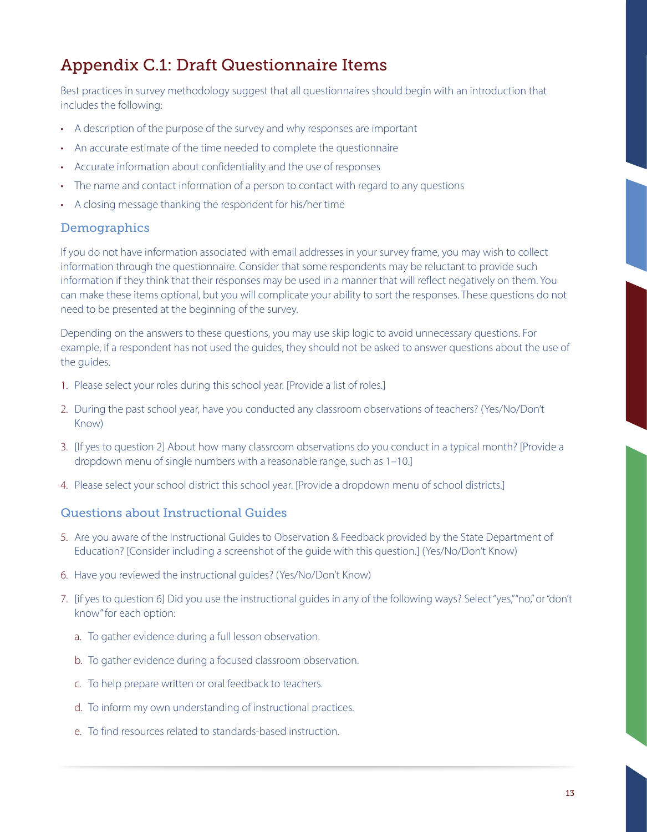# Appendix C.1: Draft Questionnaire Items

Best practices in survey methodology suggest that all questionnaires should begin with an introduction that includes the following:

- A description of the purpose of the survey and why responses are important
- An accurate estimate of the time needed to complete the questionnaire
- Accurate information about confidentiality and the use of responses
- The name and contact information of a person to contact with regard to any questions
- A closing message thanking the respondent for his/her time

### Demographics

If you do not have information associated with email addresses in your survey frame, you may wish to collect information through the questionnaire. Consider that some respondents may be reluctant to provide such information if they think that their responses may be used in a manner that will reflect negatively on them. You can make these items optional, but you will complicate your ability to sort the responses. These questions do not need to be presented at the beginning of the survey.

Depending on the answers to these questions, you may use skip logic to avoid unnecessary questions. For example, if a respondent has not used the guides, they should not be asked to answer questions about the use of the guides.

- 1. Please select your roles during this school year. [Provide a list of roles.]
- 2. During the past school year, have you conducted any classroom observations of teachers? (Yes/No/Don't Know)
- 3. [If yes to question 2] About how many classroom observations do you conduct in a typical month? [Provide a dropdown menu of single numbers with a reasonable range, such as 1–10.]
- 4. Please select your school district this school year. [Provide a dropdown menu of school districts.]

### Questions about Instructional Guides

- 5. Are you aware of the Instructional Guides to Observation & Feedback provided by the State Department of Education? [Consider including a screenshot of the guide with this question.] (Yes/No/Don't Know)
- 6. Have you reviewed the instructional guides? (Yes/No/Don't Know)
- 7. [if yes to question 6] Did you use the instructional guides in any of the following ways? Select "yes," "no," or "don't know" for each option:
	- a. To gather evidence during a full lesson observation.
	- b. To gather evidence during a focused classroom observation.
	- c. To help prepare written or oral feedback to teachers.
	- d. To inform my own understanding of instructional practices.
	- e. To find resources related to standards-based instruction.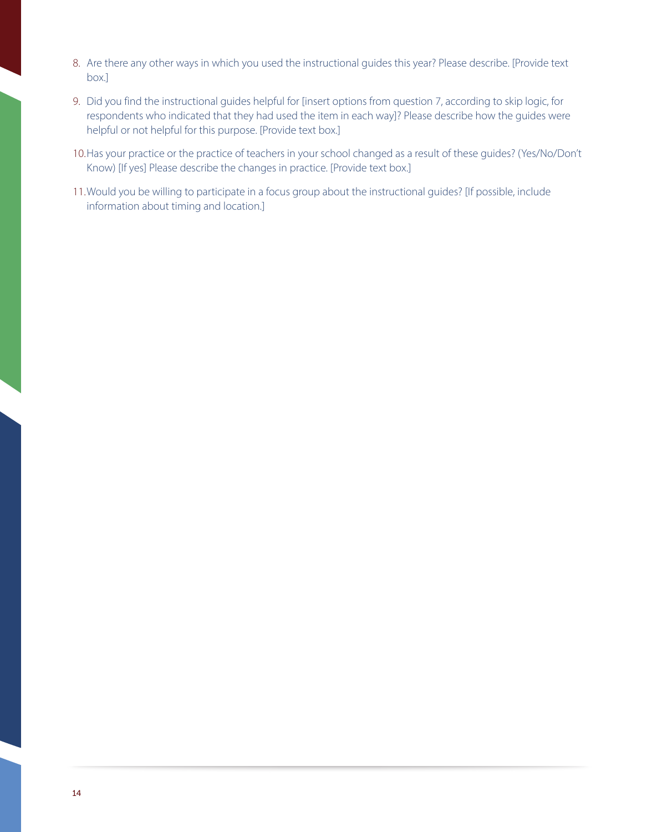- 8. Are there any other ways in which you used the instructional guides this year? Please describe. [Provide text box.]
- 9. Did you find the instructional guides helpful for [insert options from question 7, according to skip logic, for respondents who indicated that they had used the item in each way]? Please describe how the guides were helpful or not helpful for this purpose. [Provide text box.]
- 10.Has your practice or the practice of teachers in your school changed as a result of these guides? (Yes/No/Don't Know) [If yes] Please describe the changes in practice. [Provide text box.]
- 11.Would you be willing to participate in a focus group about the instructional guides? [If possible, include information about timing and location.]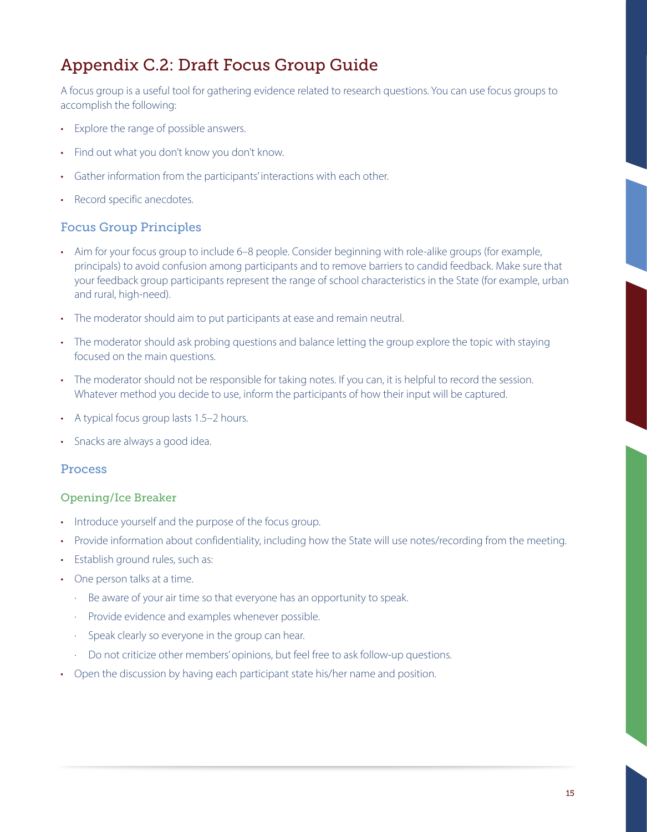# Appendix C.2: Draft Focus Group Guide

A focus group is a useful tool for gathering evidence related to research questions. You can use focus groups to accomplish the following:

- • Explore the range of possible answers.
- Find out what you don't know you don't know.
- • Gather information from the participants' interactions with each other.
- Record specific anecdotes.

### Focus Group Principles

- Aim for your focus group to include 6–8 people. Consider beginning with role-alike groups (for example, principals) to avoid confusion among participants and to remove barriers to candid feedback. Make sure that your feedback group participants represent the range of school characteristics in the State (for example, urban and rural, high-need).
- The moderator should aim to put participants at ease and remain neutral.
- The moderator should ask probing questions and balance letting the group explore the topic with staying focused on the main questions.
- The moderator should not be responsible for taking notes. If you can, it is helpful to record the session. Whatever method you decide to use, inform the participants of how their input will be captured.
- A typical focus group lasts 1.5–2 hours.
- Snacks are always a good idea.

### Process

### Opening/Ice Breaker

- Introduce yourself and the purpose of the focus group.
- Provide information about confidentiality, including how the State will use notes/recording from the meeting.
- Establish ground rules, such as:
- One person talks at a time.
	- · Be aware of your air time so that everyone has an opportunity to speak.
	- · Provide evidence and examples whenever possible.
	- · Speak clearly so everyone in the group can hear.
	- · Do not criticize other members' opinions, but feel free to ask follow-up questions.
- Open the discussion by having each participant state his/her name and position.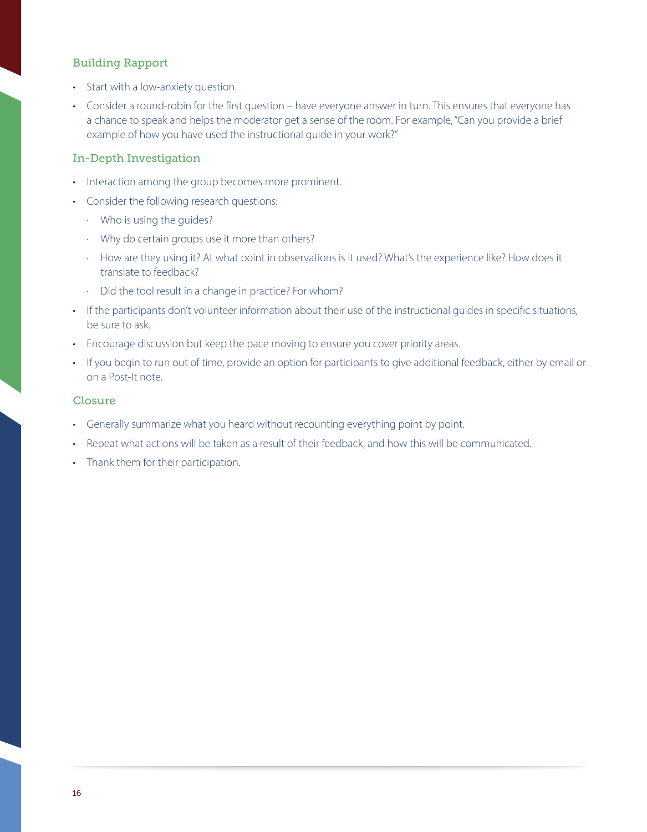### Building Rapport

- Start with a low-anxiety question.
- Consider a round-robin for the first question have everyone answer in turn. This ensures that everyone has a chance to speak and helps the moderator get a sense of the room. For example, "Can you provide a brief example of how you have used the instructional guide in your work?"

#### In-Depth Investigation

- Interaction among the group becomes more prominent.
- Consider the following research questions:
	- · Who is using the guides?
	- · Why do certain groups use it more than others?
	- · How are they using it? At what point in observations is it used? What's the experience like? How does it translate to feedback?
	- · Did the tool result in a change in practice? For whom?
- If the participants don't volunteer information about their use of the instructional guides in specific situations, be sure to ask.
- Encourage discussion but keep the pace moving to ensure you cover priority areas.
- If you begin to run out of time, provide an option for participants to give additional feedback, either by email or on a Post-It note.

#### Closure

- Generally summarize what you heard without recounting everything point by point.
- Repeat what actions will be taken as a result of their feedback, and how this will be communicated.
- Thank them for their participation.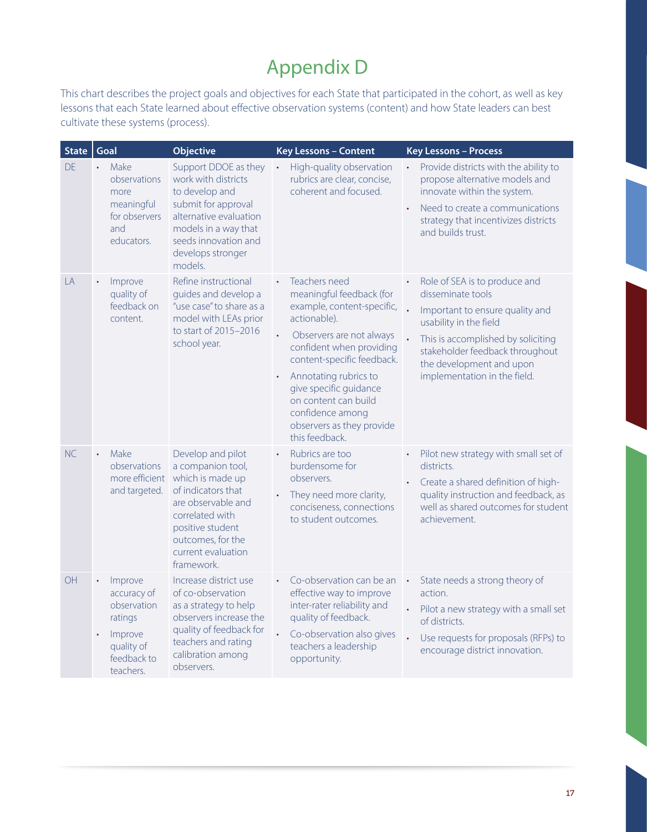# Appendix D

This chart describes the project goals and objectives for each State that participated in the cohort, as well as key lessons that each State learned about effective observation systems (content) and how State leaders can best cultivate these systems (process).

| <b>State</b> | Goal                                                                                                                            | <b>Objective</b>                                                                                                                                                                                       | <b>Key Lessons - Content</b>                                                                                                                                                                                                                                                                                                             | <b>Key Lessons - Process</b>                                                                                                                                                                                                                         |
|--------------|---------------------------------------------------------------------------------------------------------------------------------|--------------------------------------------------------------------------------------------------------------------------------------------------------------------------------------------------------|------------------------------------------------------------------------------------------------------------------------------------------------------------------------------------------------------------------------------------------------------------------------------------------------------------------------------------------|------------------------------------------------------------------------------------------------------------------------------------------------------------------------------------------------------------------------------------------------------|
| DE           | Make<br>observations<br>more<br>meaningful<br>for observers<br>and<br>educators.                                                | Support DDOE as they<br>work with districts<br>to develop and<br>submit for approval<br>alternative evaluation<br>models in a way that<br>seeds innovation and<br>develops stronger<br>models.         | High-quality observation<br>$\bullet$<br>rubrics are clear, concise,<br>coherent and focused.                                                                                                                                                                                                                                            | Provide districts with the ability to<br>$\bullet$<br>propose alternative models and<br>innovate within the system.<br>Need to create a communications<br>strategy that incentivizes districts<br>and builds trust.                                  |
| LA           | Improve<br>$\bullet$<br>quality of<br>feedback on<br>content.                                                                   | Refine instructional<br>guides and develop a<br>"use case" to share as a<br>model with LEAs prior<br>to start of 2015-2016<br>school year.                                                             | Teachers need<br>$\bullet$<br>meaningful feedback (for<br>example, content-specific,<br>actionable).<br>Observers are not always<br>confident when providing<br>content-specific feedback.<br>Annotating rubrics to<br>give specific guidance<br>on content can build<br>confidence among<br>observers as they provide<br>this feedback. | Role of SEA is to produce and<br>disseminate tools<br>Important to ensure quality and<br>usability in the field<br>This is accomplished by soliciting<br>stakeholder feedback throughout<br>the development and upon<br>implementation in the field. |
| NC           | Make<br>$\bullet$<br>observations<br>more efficient<br>and targeted.                                                            | Develop and pilot<br>a companion tool,<br>which is made up<br>of indicators that<br>are observable and<br>correlated with<br>positive student<br>outcomes, for the<br>current evaluation<br>framework. | Rubrics are too<br>burdensome for<br>observers.<br>They need more clarity,<br>conciseness, connections<br>to student outcomes.                                                                                                                                                                                                           | Pilot new strategy with small set of<br>districts.<br>Create a shared definition of high-<br>quality instruction and feedback, as<br>well as shared outcomes for student<br>achievement.                                                             |
| OH           | Improve<br>$\bullet$<br>accuracy of<br>observation<br>ratings<br>Improve<br>$\bullet$<br>quality of<br>feedback to<br>teachers. | Increase district use<br>of co-observation<br>as a strategy to help<br>observers increase the<br>quality of feedback for<br>teachers and rating<br>calibration among<br>observers.                     | Co-observation can be an<br>effective way to improve<br>inter-rater reliability and<br>quality of feedback.<br>Co-observation also gives<br>teachers a leadership<br>opportunity.                                                                                                                                                        | State needs a strong theory of<br>$\bullet$<br>action.<br>Pilot a new strategy with a small set<br>of districts.<br>Use requests for proposals (RFPs) to<br>encourage district innovation.                                                           |